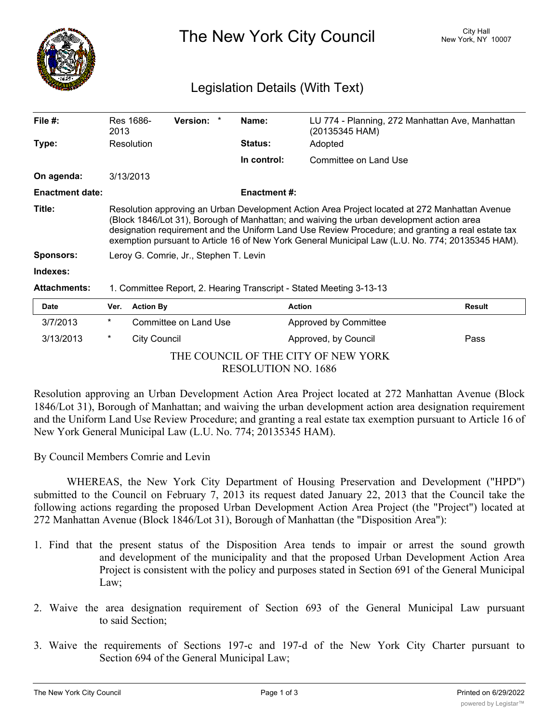

The New York City Council New York, NY 10007

## Legislation Details (With Text)

| File #:                | Res 1686-<br>2013                                                                                                                                                                                                                                                                                                                                                                                  |                     | <b>Version:</b>       |  | Name:               | (20135345 HAM)        | LU 774 - Planning, 272 Manhattan Ave, Manhattan |  |
|------------------------|----------------------------------------------------------------------------------------------------------------------------------------------------------------------------------------------------------------------------------------------------------------------------------------------------------------------------------------------------------------------------------------------------|---------------------|-----------------------|--|---------------------|-----------------------|-------------------------------------------------|--|
| Type:                  | Resolution                                                                                                                                                                                                                                                                                                                                                                                         |                     |                       |  | <b>Status:</b>      | Adopted               |                                                 |  |
|                        |                                                                                                                                                                                                                                                                                                                                                                                                    |                     |                       |  | In control:         | Committee on Land Use |                                                 |  |
| On agenda:             | 3/13/2013                                                                                                                                                                                                                                                                                                                                                                                          |                     |                       |  |                     |                       |                                                 |  |
| <b>Enactment date:</b> |                                                                                                                                                                                                                                                                                                                                                                                                    |                     |                       |  | <b>Enactment #:</b> |                       |                                                 |  |
| Title:                 | Resolution approving an Urban Development Action Area Project located at 272 Manhattan Avenue<br>(Block 1846/Lot 31), Borough of Manhattan; and waiving the urban development action area<br>designation requirement and the Uniform Land Use Review Procedure; and granting a real estate tax<br>exemption pursuant to Article 16 of New York General Municipal Law (L.U. No. 774; 20135345 HAM). |                     |                       |  |                     |                       |                                                 |  |
| <b>Sponsors:</b>       | Leroy G. Comrie, Jr., Stephen T. Levin                                                                                                                                                                                                                                                                                                                                                             |                     |                       |  |                     |                       |                                                 |  |
| Indexes:               |                                                                                                                                                                                                                                                                                                                                                                                                    |                     |                       |  |                     |                       |                                                 |  |
| <b>Attachments:</b>    | 1. Committee Report, 2. Hearing Transcript - Stated Meeting 3-13-13                                                                                                                                                                                                                                                                                                                                |                     |                       |  |                     |                       |                                                 |  |
| <b>Date</b>            | Ver.                                                                                                                                                                                                                                                                                                                                                                                               | <b>Action By</b>    |                       |  |                     | <b>Action</b>         | <b>Result</b>                                   |  |
| 3/7/2013               | $^\star$                                                                                                                                                                                                                                                                                                                                                                                           |                     | Committee on Land Use |  |                     | Approved by Committee |                                                 |  |
| 3/13/2013              | $\ast$                                                                                                                                                                                                                                                                                                                                                                                             | <b>City Council</b> |                       |  |                     | Approved, by Council  | Pass                                            |  |

THE COUNCIL OF THE CITY OF NEW YORK RESOLUTION NO. 1686

Resolution approving an Urban Development Action Area Project located at 272 Manhattan Avenue (Block 1846/Lot 31), Borough of Manhattan; and waiving the urban development action area designation requirement and the Uniform Land Use Review Procedure; and granting a real estate tax exemption pursuant to Article 16 of New York General Municipal Law (L.U. No. 774; 20135345 HAM).

By Council Members Comrie and Levin

WHEREAS, the New York City Department of Housing Preservation and Development ("HPD") submitted to the Council on February 7, 2013 its request dated January 22, 2013 that the Council take the following actions regarding the proposed Urban Development Action Area Project (the "Project") located at 272 Manhattan Avenue (Block 1846/Lot 31), Borough of Manhattan (the "Disposition Area"):

- 1. Find that the present status of the Disposition Area tends to impair or arrest the sound growth and development of the municipality and that the proposed Urban Development Action Area Project is consistent with the policy and purposes stated in Section 691 of the General Municipal Law;
- 2. Waive the area designation requirement of Section 693 of the General Municipal Law pursuant to said Section;
- 3. Waive the requirements of Sections 197-c and 197-d of the New York City Charter pursuant to Section 694 of the General Municipal Law;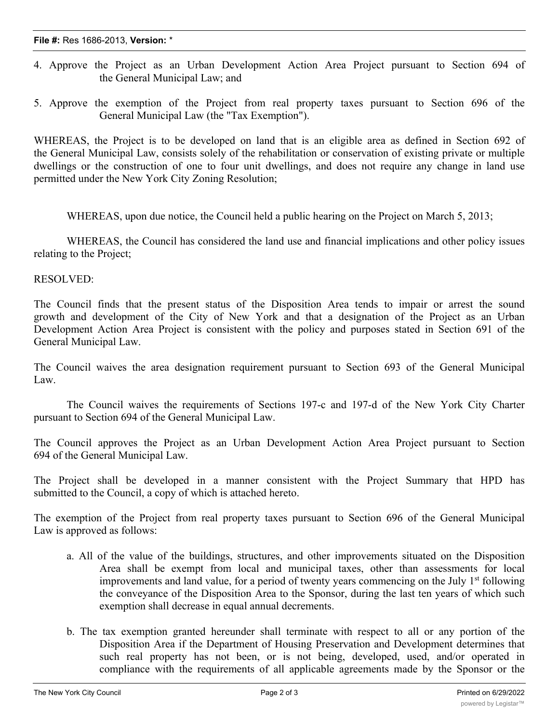- 4. Approve the Project as an Urban Development Action Area Project pursuant to Section 694 of the General Municipal Law; and
- 5. Approve the exemption of the Project from real property taxes pursuant to Section 696 of the General Municipal Law (the "Tax Exemption").

WHEREAS, the Project is to be developed on land that is an eligible area as defined in Section 692 of the General Municipal Law, consists solely of the rehabilitation or conservation of existing private or multiple dwellings or the construction of one to four unit dwellings, and does not require any change in land use permitted under the New York City Zoning Resolution;

WHEREAS, upon due notice, the Council held a public hearing on the Project on March 5, 2013;

WHEREAS, the Council has considered the land use and financial implications and other policy issues relating to the Project;

## RESOLVED:

The Council finds that the present status of the Disposition Area tends to impair or arrest the sound growth and development of the City of New York and that a designation of the Project as an Urban Development Action Area Project is consistent with the policy and purposes stated in Section 691 of the General Municipal Law.

The Council waives the area designation requirement pursuant to Section 693 of the General Municipal Law.

The Council waives the requirements of Sections 197-c and 197-d of the New York City Charter pursuant to Section 694 of the General Municipal Law.

The Council approves the Project as an Urban Development Action Area Project pursuant to Section 694 of the General Municipal Law.

The Project shall be developed in a manner consistent with the Project Summary that HPD has submitted to the Council, a copy of which is attached hereto.

The exemption of the Project from real property taxes pursuant to Section 696 of the General Municipal Law is approved as follows:

- a. All of the value of the buildings, structures, and other improvements situated on the Disposition Area shall be exempt from local and municipal taxes, other than assessments for local improvements and land value, for a period of twenty years commencing on the July  $1<sup>st</sup>$  following the conveyance of the Disposition Area to the Sponsor, during the last ten years of which such exemption shall decrease in equal annual decrements.
- b. The tax exemption granted hereunder shall terminate with respect to all or any portion of the Disposition Area if the Department of Housing Preservation and Development determines that such real property has not been, or is not being, developed, used, and/or operated in compliance with the requirements of all applicable agreements made by the Sponsor or the

owner of such real property with, or for the benefit of, the  $\alpha$  the  $C$  the  $C$